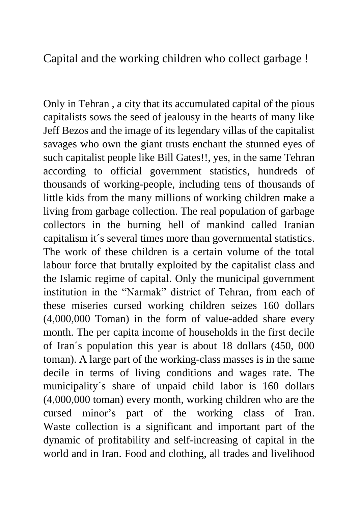Capital and the working children who collect garbage !

Only in Tehran , a city that its accumulated capital of the pious capitalists sows the seed of jealousy in the hearts of many like Jeff Bezos and the image of its legendary villas of the capitalist savages who own the giant trusts enchant the stunned eyes of such capitalist people like Bill Gates!!, yes, in the same Tehran according to official government statistics, hundreds of thousands of working-people, including tens of thousands of little kids from the many millions of working children make a living from garbage collection. The real population of garbage collectors in the burning hell of mankind called Iranian capitalism it´s several times more than governmental statistics. The work of these children is a certain volume of the total labour force that brutally exploited by the capitalist class and the Islamic regime of capital. Only the municipal government institution in the "Narmak" district of Tehran, from each of these miseries cursed working children seizes 160 dollars (4,000,000 Toman) in the form of value-added share every month. The per capita income of households in the first decile of Iran´s population this year is about 18 dollars (450, 000 toman). A large part of the working-class masses is in the same decile in terms of living conditions and wages rate. The municipality´s share of unpaid child labor is 160 dollars (4,000,000 toman) every month, working children who are the cursed minor's part of the working class of Iran. Waste collection is a significant and important part of the dynamic of profitability and self-increasing of capital in the world and in Iran. Food and clothing, all trades and livelihood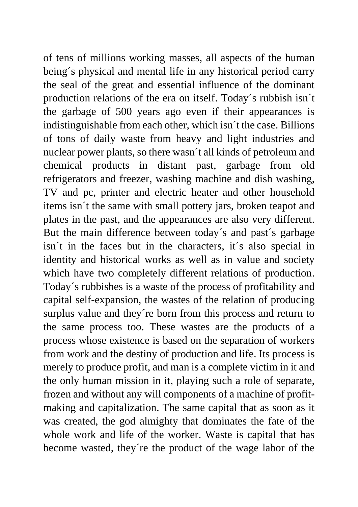of tens of millions working masses, all aspects of the human being´s physical and mental life in any historical period carry the seal of the great and essential influence of the dominant production relations of the era on itself. Today´s rubbish isn´t the garbage of 500 years ago even if their appearances is indistinguishable from each other, which isn´t the case. Billions of tons of daily waste from heavy and light industries and nuclear power plants, so there wasn´t all kinds of petroleum and chemical products in distant past, garbage from old refrigerators and freezer, washing machine and dish washing, TV and pc, printer and electric heater and other household items isn´t the same with small pottery jars, broken teapot and plates in the past, and the appearances are also very different. But the main difference between today´s and past´s garbage isn´t in the faces but in the characters, it´s also special in identity and historical works as well as in value and society which have two completely different relations of production. Today´s rubbishes is a waste of the process of profitability and capital self-expansion, the wastes of the relation of producing surplus value and they´re born from this process and return to the same process too. These wastes are the products of a process whose existence is based on the separation of workers from work and the destiny of production and life. Its process is merely to produce profit, and man is a complete victim in it and the only human mission in it, playing such a role of separate, frozen and without any will components of a machine of profitmaking and capitalization. The same capital that as soon as it was created, the god almighty that dominates the fate of the whole work and life of the worker. Waste is capital that has become wasted, they´re the product of the wage labor of the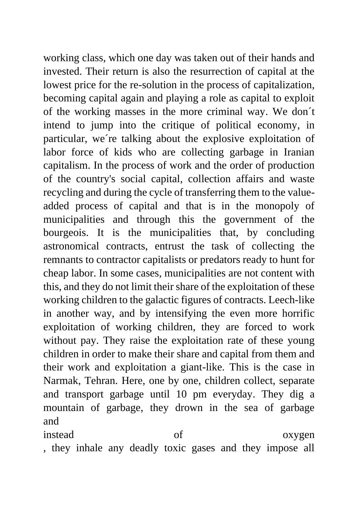working class, which one day was taken out of their hands and invested. Their return is also the resurrection of capital at the lowest price for the re-solution in the process of capitalization, becoming capital again and playing a role as capital to exploit of the working masses in the more criminal way. We don´t intend to jump into the critique of political economy, in particular, we´re talking about the explosive exploitation of labor force of kids who are collecting garbage in Iranian capitalism. In the process of work and the order of production of the country's social capital, collection affairs and waste recycling and during the cycle of transferring them to the valueadded process of capital and that is in the monopoly of municipalities and through this the government of the bourgeois. It is the municipalities that, by concluding astronomical contracts, entrust the task of collecting the remnants to contractor capitalists or predators ready to hunt for cheap labor. In some cases, municipalities are not content with this, and they do not limit their share of the exploitation of these working children to the galactic figures of contracts. Leech-like in another way, and by intensifying the even more horrific exploitation of working children, they are forced to work without pay. They raise the exploitation rate of these young children in order to make their share and capital from them and their work and exploitation a giant-like. This is the case in Narmak, Tehran. Here, one by one, children collect, separate and transport garbage until 10 pm everyday. They dig a mountain of garbage, they drown in the sea of garbage and

instead of oxygen , they inhale any deadly toxic gases and they impose all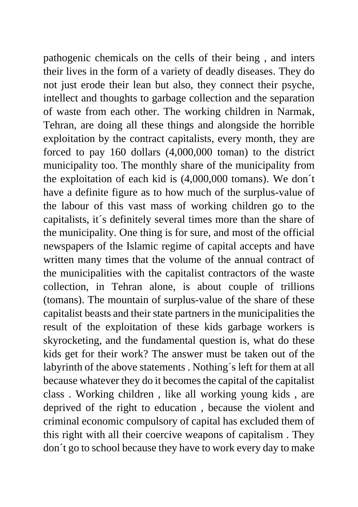pathogenic chemicals on the cells of their being , and inters their lives in the form of a variety of deadly diseases. They do not just erode their lean but also, they connect their psyche, intellect and thoughts to garbage collection and the separation of waste from each other. The working children in Narmak, Tehran, are doing all these things and alongside the horrible exploitation by the contract capitalists, every month, they are forced to pay 160 dollars (4,000,000 toman) to the district municipality too. The monthly share of the municipality from the exploitation of each kid is (4,000,000 tomans). We don´t have a definite figure as to how much of the surplus-value of the labour of this vast mass of working children go to the capitalists, it´s definitely several times more than the share of the municipality. One thing is for sure, and most of the official newspapers of the Islamic regime of capital accepts and have written many times that the volume of the annual contract of the municipalities with the capitalist contractors of the waste collection, in Tehran alone, is about couple of trillions (tomans). The mountain of surplus-value of the share of these capitalist beasts and their state partners in the municipalities the result of the exploitation of these kids garbage workers is skyrocketing, and the fundamental question is, what do these kids get for their work? The answer must be taken out of the labyrinth of the above statements . Nothing´s left for them at all because whatever they do it becomes the capital of the capitalist class . Working children , like all working young kids , are deprived of the right to education , because the violent and criminal economic compulsory of capital has excluded them of this right with all their coercive weapons of capitalism . They don´t go to school because they have to work every day to make